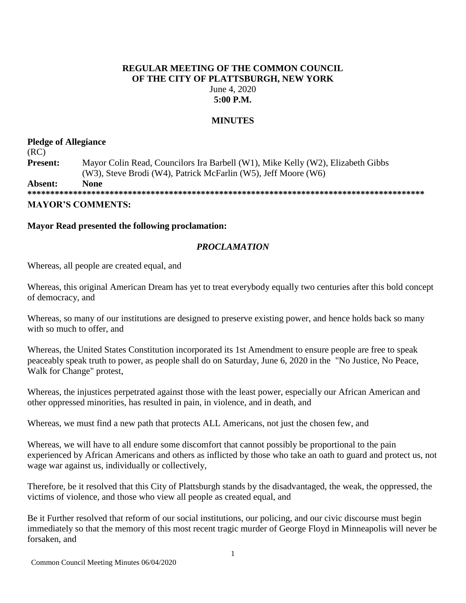# **REGULAR MEETING OF THE COMMON COUNCIL OF THE CITY OF PLATTSBURGH, NEW YORK** June 4, 2020 **5:00 P.M.**

# **MINUTES**

# **Pledge of Allegiance** (RC) **Present:** Mayor Colin Read, Councilors Ira Barbell (W1), Mike Kelly (W2), Elizabeth Gibbs (W3), Steve Brodi (W4), Patrick McFarlin (W5), Jeff Moore (W6) **Absent: None**

**\*\*\*\*\*\*\*\*\*\*\*\*\*\*\*\*\*\*\*\*\*\*\*\*\*\*\*\*\*\*\*\*\*\*\*\*\*\*\*\*\*\*\*\*\*\*\*\*\*\*\*\*\*\*\*\*\*\*\*\*\*\*\*\*\*\*\*\*\*\*\*\*\*\*\*\*\*\*\*\*\*\*\*\*\*\*\* MAYOR'S COMMENTS:** 

## **Mayor Read presented the following proclamation:**

## *PROCLAMATION*

Whereas, all people are created equal, and

Whereas, this original American Dream has yet to treat everybody equally two centuries after this bold concept of democracy, and

Whereas, so many of our institutions are designed to preserve existing power, and hence holds back so many with so much to offer, and

Whereas, the United States Constitution incorporated its 1st Amendment to ensure people are free to speak peaceably speak truth to power, as people shall do on Saturday, June 6, 2020 in the "No Justice, No Peace, Walk for Change" protest,

Whereas, the injustices perpetrated against those with the least power, especially our African American and other oppressed minorities, has resulted in pain, in violence, and in death, and

Whereas, we must find a new path that protects ALL Americans, not just the chosen few, and

Whereas, we will have to all endure some discomfort that cannot possibly be proportional to the pain experienced by African Americans and others as inflicted by those who take an oath to guard and protect us, not wage war against us, individually or collectively,

Therefore, be it resolved that this City of Plattsburgh stands by the disadvantaged, the weak, the oppressed, the victims of violence, and those who view all people as created equal, and

Be it Further resolved that reform of our social institutions, our policing, and our civic discourse must begin immediately so that the memory of this most recent tragic murder of George Floyd in Minneapolis will never be forsaken, and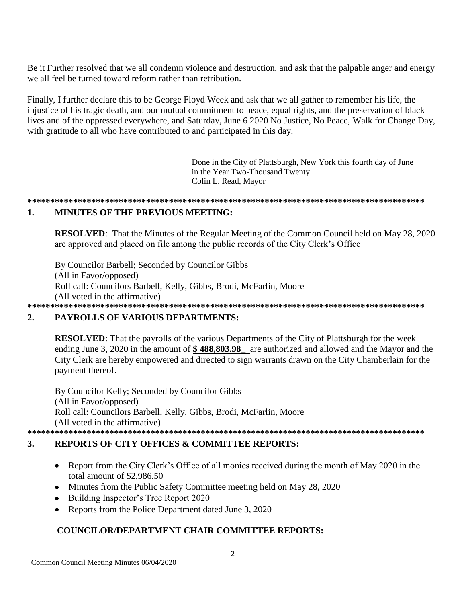Be it Further resolved that we all condemn violence and destruction, and ask that the palpable anger and energy we all feel be turned toward reform rather than retribution.

Finally, I further declare this to be George Floyd Week and ask that we all gather to remember his life, the injustice of his tragic death, and our mutual commitment to peace, equal rights, and the preservation of black lives and of the oppressed everywhere, and Saturday, June 6 2020 No Justice, No Peace, Walk for Change Day, with gratitude to all who have contributed to and participated in this day.

> Done in the City of Plattsburgh, New York this fourth day of June in the Year Two-Thousand Twenty Colin L. Read, Mayor

#### **MINUTES OF THE PREVIOUS MEETING:**  $\mathbf{1}$ .

**RESOLVED:** That the Minutes of the Regular Meeting of the Common Council held on May 28, 2020 are approved and placed on file among the public records of the City Clerk's Office

By Councilor Barbell; Seconded by Councilor Gibbs (All in Favor/opposed) Roll call: Councilors Barbell, Kelly, Gibbs, Brodi, McFarlin, Moore (All voted in the affirmative) 

### **PAYROLLS OF VARIOUS DEPARTMENTS:**  $2.$

**RESOLVED:** That the payrolls of the various Departments of the City of Plattsburgh for the week ending June 3, 2020 in the amount of \$488,803.98 are authorized and allowed and the Mayor and the City Clerk are hereby empowered and directed to sign warrants drawn on the City Chamberlain for the payment thereof.

By Councilor Kelly; Seconded by Councilor Gibbs (All in Favor/opposed) Roll call: Councilors Barbell, Kelly, Gibbs, Brodi, McFarlin, Moore (All voted in the affirmative) 

### $3.$ **REPORTS OF CITY OFFICES & COMMITTEE REPORTS:**

- Report from the City Clerk's Office of all monies received during the month of May 2020 in the  $\bullet$ total amount of \$2,986.50
- Minutes from the Public Safety Committee meeting held on May 28, 2020
- Building Inspector's Tree Report 2020
- Reports from the Police Department dated June 3, 2020

# **COUNCILOR/DEPARTMENT CHAIR COMMITTEE REPORTS:**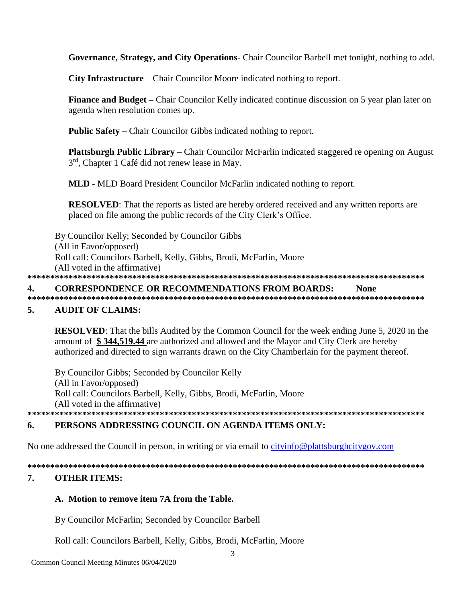Governance, Strategy, and City Operations- Chair Councilor Barbell met tonight, nothing to add.

**City Infrastructure** – Chair Councilor Moore indicated nothing to report.

**Finance and Budget** – Chair Councilor Kelly indicated continue discussion on 5 year plan later on agenda when resolution comes up.

**Public Safety** – Chair Councilor Gibbs indicated nothing to report.

**Plattsburgh Public Library** – Chair Councilor McFarlin indicated staggered re opening on August 3<sup>rd</sup>, Chapter 1 Café did not renew lease in May.

**MLD - MLD Board President Councilor McFarlin indicated nothing to report.** 

**RESOLVED:** That the reports as listed are hereby ordered received and any written reports are placed on file among the public records of the City Clerk's Office.

By Councilor Kelly; Seconded by Councilor Gibbs (All in Favor/opposed) Roll call: Councilors Barbell, Kelly, Gibbs, Brodi, McFarlin, Moore (All voted in the affirmative) 

#### **CORRESPONDENCE OR RECOMMENDATIONS FROM BOARDS:** 4. **None**

### **AUDIT OF CLAIMS:** 5.

**RESOLVED:** That the bills Audited by the Common Council for the week ending June 5, 2020 in the amount of \$344,519.44 are authorized and allowed and the Mayor and City Clerk are hereby authorized and directed to sign warrants drawn on the City Chamberlain for the payment thereof.

By Councilor Gibbs; Seconded by Councilor Kelly (All in Favor/opposed) Roll call: Councilors Barbell, Kelly, Gibbs, Brodi, McFarlin, Moore (All voted in the affirmative) 

### PERSONS ADDRESSING COUNCIL ON AGENDA ITEMS ONLY: 6.

No one addressed the Council in person, in writing or via email to cityinfo@plattsburghcitygov.com

### 7. **OTHER ITEMS:**

# A. Motion to remove item 7A from the Table.

By Councilor McFarlin; Seconded by Councilor Barbell

Roll call: Councilors Barbell, Kelly, Gibbs, Brodi, McFarlin, Moore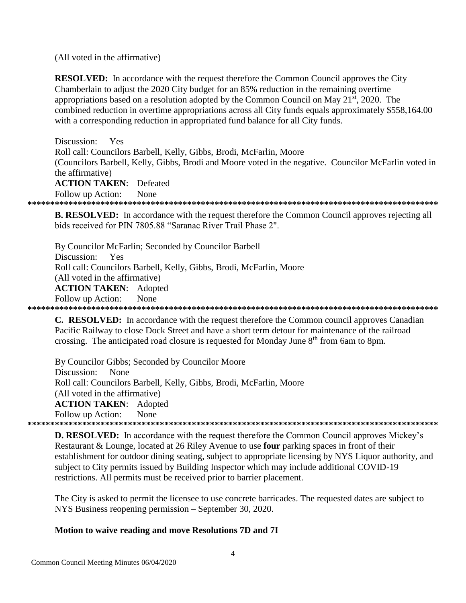(All voted in the affirmative)

**RESOLVED:** In accordance with the request therefore the Common Council approves the City Chamberlain to adjust the 2020 City budget for an 85% reduction in the remaining overtime appropriations based on a resolution adopted by the Common Council on May  $21^{st}$ , 2020. The combined reduction in overtime appropriations across all City funds equals approximately \$558,164.00 with a corresponding reduction in appropriated fund balance for all City funds.

Discussion: Yes Roll call: Councilors Barbell, Kelly, Gibbs, Brodi, McFarlin, Moore (Councilors Barbell, Kelly, Gibbs, Brodi and Moore voted in the negative. Councilor McFarlin voted in the affirmative) **ACTION TAKEN:** Defeated Follow up Action: None

**B. RESOLVED:** In accordance with the request therefore the Common Council approves rejecting all bids received for PIN 7805.88 "Saranac River Trail Phase 2".

By Councilor McFarlin; Seconded by Councilor Barbell Discussion: Yes Roll call: Councilors Barbell, Kelly, Gibbs, Brodi, McFarlin, Moore (All voted in the affirmative) **ACTION TAKEN:** Adopted Follow up Action: None 

C. RESOLVED: In accordance with the request therefore the Common council approves Canadian Pacific Railway to close Dock Street and have a short term detour for maintenance of the railroad crossing. The anticipated road closure is requested for Monday June 8<sup>th</sup> from 6am to 8pm.

By Councilor Gibbs; Seconded by Councilor Moore Discussion: None Roll call: Councilors Barbell, Kelly, Gibbs, Brodi, McFarlin, Moore (All voted in the affirmative) **ACTION TAKEN:** Adopted None Follow up Action: 

**D. RESOLVED:** In accordance with the request therefore the Common Council approves Mickey's Restaurant & Lounge, located at 26 Riley Avenue to use **four** parking spaces in front of their establishment for outdoor dining seating, subject to appropriate licensing by NYS Liquor authority, and subject to City permits issued by Building Inspector which may include additional COVID-19 restrictions. All permits must be received prior to barrier placement.

The City is asked to permit the licensee to use concrete barricades. The requested dates are subject to NYS Business reopening permission – September 30, 2020.

## Motion to waive reading and move Resolutions 7D and 7I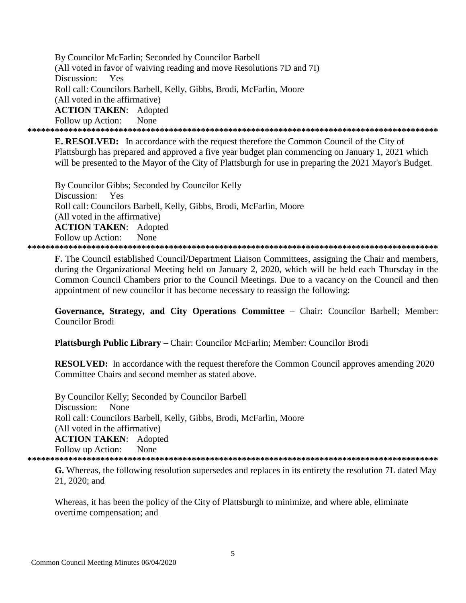By Councilor McFarlin; Seconded by Councilor Barbell (All voted in favor of waiving reading and move Resolutions 7D and 7I) Discussion: Yes Roll call: Councilors Barbell, Kelly, Gibbs, Brodi, McFarlin, Moore (All voted in the affirmative) **ACTION TAKEN: Adopted** Follow up Action: None 

**E. RESOLVED:** In accordance with the request therefore the Common Council of the City of Plattsburgh has prepared and approved a five year budget plan commencing on January 1, 2021 which will be presented to the Mayor of the City of Plattsburgh for use in preparing the 2021 Mayor's Budget.

By Councilor Gibbs; Seconded by Councilor Kelly Discussion: Yes Roll call: Councilors Barbell, Kelly, Gibbs, Brodi, McFarlin, Moore (All voted in the affirmative) **ACTION TAKEN:** Adopted Follow up Action: None 

**F.** The Council established Council/Department Liaison Committees, assigning the Chair and members, during the Organizational Meeting held on January 2, 2020, which will be held each Thursday in the Common Council Chambers prior to the Council Meetings. Due to a vacancy on the Council and then appointment of new councilor it has become necessary to reassign the following:

Governance, Strategy, and City Operations Committee - Chair: Councilor Barbell; Member: **Councilor Brodi** 

Plattsburgh Public Library - Chair: Councilor McFarlin; Member: Councilor Brodi

**RESOLVED:** In accordance with the request therefore the Common Council approves amending 2020 Committee Chairs and second member as stated above.

By Councilor Kelly; Seconded by Councilor Barbell None Discussion: Roll call: Councilors Barbell, Kelly, Gibbs, Brodi, McFarlin, Moore (All voted in the affirmative) **ACTION TAKEN:** Adopted Follow up Action: None 

**G.** Whereas, the following resolution supersedes and replaces in its entirety the resolution 7L dated May 21, 2020; and

Whereas, it has been the policy of the City of Plattsburgh to minimize, and where able, eliminate overtime compensation; and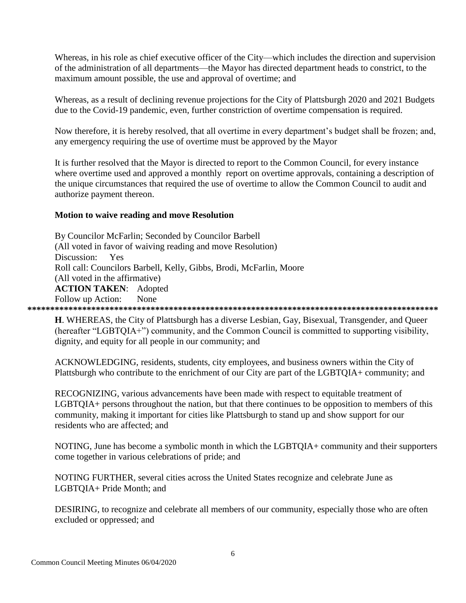Whereas, in his role as chief executive officer of the City—which includes the direction and supervision of the administration of all departments—the Mayor has directed department heads to constrict, to the maximum amount possible, the use and approval of overtime; and

Whereas, as a result of declining revenue projections for the City of Plattsburgh 2020 and 2021 Budgets due to the Covid-19 pandemic, even, further constriction of overtime compensation is required.

Now therefore, it is hereby resolved, that all overtime in every department's budget shall be frozen; and, any emergency requiring the use of overtime must be approved by the Mayor

It is further resolved that the Mayor is directed to report to the Common Council, for every instance where overtime used and approved a monthly report on overtime approvals, containing a description of the unique circumstances that required the use of overtime to allow the Common Council to audit and authorize payment thereon.

## **Motion to waive reading and move Resolution**

By Councilor McFarlin; Seconded by Councilor Barbell (All voted in favor of waiving reading and move Resolution) Discussion: Yes Roll call: Councilors Barbell, Kelly, Gibbs, Brodi, McFarlin, Moore (All voted in the affirmative) **ACTION TAKEN**: Adopted Follow up Action: None **\*\*\*\*\*\*\*\*\*\*\*\*\*\*\*\*\*\*\*\*\*\*\*\*\*\*\*\*\*\*\*\*\*\*\*\*\*\*\*\*\*\*\*\*\*\*\*\*\*\*\*\*\*\*\*\*\*\*\*\*\*\*\*\*\*\*\*\*\*\*\*\*\*\*\*\*\*\*\*\*\*\*\*\*\*\*\*\*\*\***

**H**. WHEREAS, the City of Plattsburgh has a diverse Lesbian, Gay, Bisexual, Transgender, and Queer (hereafter "LGBTQIA+") community, and the Common Council is committed to supporting visibility, dignity, and equity for all people in our community; and

ACKNOWLEDGING, residents, students, city employees, and business owners within the City of Plattsburgh who contribute to the enrichment of our City are part of the LGBTQIA+ community; and

RECOGNIZING, various advancements have been made with respect to equitable treatment of LGBTQIA+ persons throughout the nation, but that there continues to be opposition to members of this community, making it important for cities like Plattsburgh to stand up and show support for our residents who are affected; and

NOTING, June has become a symbolic month in which the LGBTQIA+ community and their supporters come together in various celebrations of pride; and

NOTING FURTHER, several cities across the United States recognize and celebrate June as LGBTQIA+ Pride Month; and

DESIRING, to recognize and celebrate all members of our community, especially those who are often excluded or oppressed; and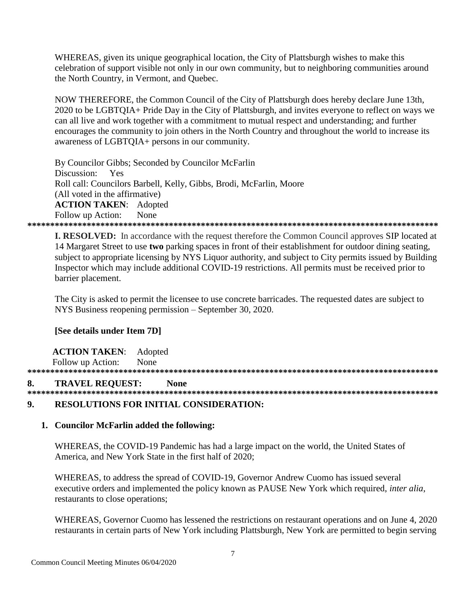WHEREAS, given its unique geographical location, the City of Plattsburgh wishes to make this celebration of support visible not only in our own community, but to neighboring communities around the North Country, in Vermont, and Quebec.

NOW THEREFORE, the Common Council of the City of Plattsburgh does hereby declare June 13th, 2020 to be LGBTOIA+ Pride Day in the City of Plattsburgh, and invites everyone to reflect on ways we can all live and work together with a commitment to mutual respect and understanding; and further encourages the community to join others in the North Country and throughout the world to increase its awareness of LGBTQIA+ persons in our community.

By Councilor Gibbs; Seconded by Councilor McFarlin Discussion: Yes Roll call: Councilors Barbell, Kelly, Gibbs, Brodi, McFarlin, Moore (All voted in the affirmative) **ACTION TAKEN:** Adopted Follow up Action: None 

**I. RESOLVED:** In accordance with the request therefore the Common Council approves SIP located at 14 Margaret Street to use two parking spaces in front of their establishment for outdoor dining seating, subject to appropriate licensing by NYS Liquor authority, and subject to City permits issued by Building Inspector which may include additional COVID-19 restrictions. All permits must be received prior to barrier placement.

The City is asked to permit the licensee to use concrete barricades. The requested dates are subject to NYS Business reopening permission – September 30, 2020.

# [See details under Item 7D]

**ACTION TAKEN:** Adopted Follow up Action: None

#### **TRAVEL REOUEST:** 8. **None**

#### $9<sub>1</sub>$ **RESOLUTIONS FOR INITIAL CONSIDERATION:**

### 1. Councilor McFarlin added the following:

WHEREAS, the COVID-19 Pandemic has had a large impact on the world, the United States of America, and New York State in the first half of 2020:

WHEREAS, to address the spread of COVID-19, Governor Andrew Cuomo has issued several executive orders and implemented the policy known as PAUSE New York which required, inter alia, restaurants to close operations;

WHEREAS, Governor Cuomo has lessened the restrictions on restaurant operations and on June 4, 2020 restaurants in certain parts of New York including Plattsburgh, New York are permitted to begin serving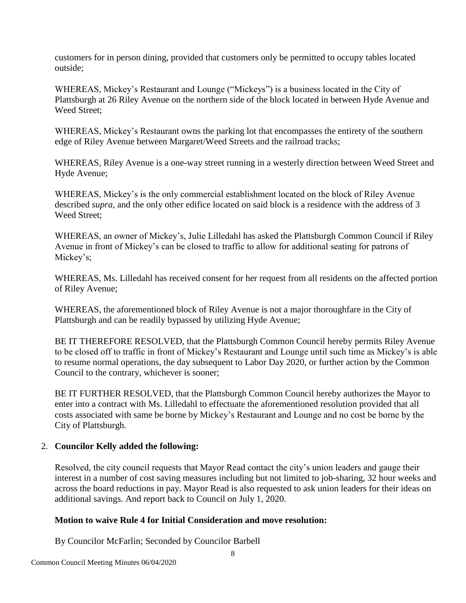customers for in person dining, provided that customers only be permitted to occupy tables located outside;

WHEREAS, Mickey's Restaurant and Lounge ("Mickeys") is a business located in the City of Plattsburgh at 26 Riley Avenue on the northern side of the block located in between Hyde Avenue and Weed Street;

WHEREAS, Mickey's Restaurant owns the parking lot that encompasses the entirety of the southern edge of Riley Avenue between Margaret/Weed Streets and the railroad tracks;

WHEREAS, Riley Avenue is a one-way street running in a westerly direction between Weed Street and Hyde Avenue;

WHEREAS, Mickey's is the only commercial establishment located on the block of Riley Avenue described *supra*, and the only other edifice located on said block is a residence with the address of 3 Weed Street;

WHEREAS, an owner of Mickey's, Julie Lilledahl has asked the Plattsburgh Common Council if Riley Avenue in front of Mickey's can be closed to traffic to allow for additional seating for patrons of Mickey's;

WHEREAS, Ms. Lilledahl has received consent for her request from all residents on the affected portion of Riley Avenue;

WHEREAS, the aforementioned block of Riley Avenue is not a major thoroughfare in the City of Plattsburgh and can be readily bypassed by utilizing Hyde Avenue;

BE IT THEREFORE RESOLVED, that the Plattsburgh Common Council hereby permits Riley Avenue to be closed off to traffic in front of Mickey's Restaurant and Lounge until such time as Mickey's is able to resume normal operations, the day subsequent to Labor Day 2020, or further action by the Common Council to the contrary, whichever is sooner;

BE IT FURTHER RESOLVED, that the Plattsburgh Common Council hereby authorizes the Mayor to enter into a contract with Ms. Lilledahl to effectuate the aforementioned resolution provided that all costs associated with same be borne by Mickey's Restaurant and Lounge and no cost be borne by the City of Plattsburgh.

# 2. **Councilor Kelly added the following:**

Resolved, the city council requests that Mayor Read contact the city's union leaders and gauge their interest in a number of cost saving measures including but not limited to job-sharing, 32 hour weeks and across the board reductions in pay. Mayor Read is also requested to ask union leaders for their ideas on additional savings. And report back to Council on July 1, 2020.

# **Motion to waive Rule 4 for Initial Consideration and move resolution:**

By Councilor McFarlin; Seconded by Councilor Barbell